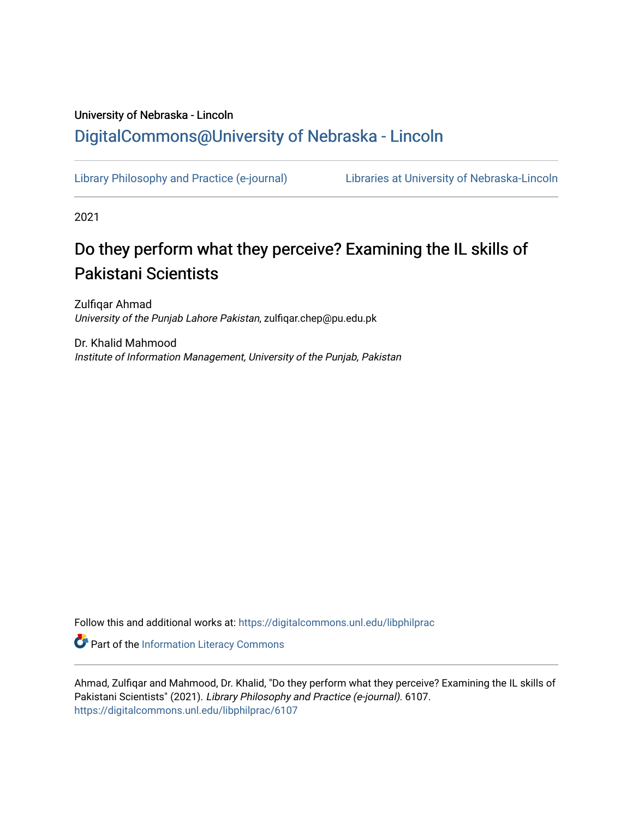# University of Nebraska - Lincoln [DigitalCommons@University of Nebraska - Lincoln](https://digitalcommons.unl.edu/)

[Library Philosophy and Practice \(e-journal\)](https://digitalcommons.unl.edu/libphilprac) [Libraries at University of Nebraska-Lincoln](https://digitalcommons.unl.edu/libraries) 

2021

# Do they perform what they perceive? Examining the IL skills of Pakistani Scientists

Zulfiqar Ahmad University of the Punjab Lahore Pakistan, zulfiqar.chep@pu.edu.pk

Dr. Khalid Mahmood Institute of Information Management, University of the Punjab, Pakistan

Follow this and additional works at: [https://digitalcommons.unl.edu/libphilprac](https://digitalcommons.unl.edu/libphilprac?utm_source=digitalcommons.unl.edu%2Flibphilprac%2F6107&utm_medium=PDF&utm_campaign=PDFCoverPages) 

Part of the [Information Literacy Commons](http://network.bepress.com/hgg/discipline/1243?utm_source=digitalcommons.unl.edu%2Flibphilprac%2F6107&utm_medium=PDF&utm_campaign=PDFCoverPages)

Ahmad, Zulfiqar and Mahmood, Dr. Khalid, "Do they perform what they perceive? Examining the IL skills of Pakistani Scientists" (2021). Library Philosophy and Practice (e-journal). 6107. [https://digitalcommons.unl.edu/libphilprac/6107](https://digitalcommons.unl.edu/libphilprac/6107?utm_source=digitalcommons.unl.edu%2Flibphilprac%2F6107&utm_medium=PDF&utm_campaign=PDFCoverPages)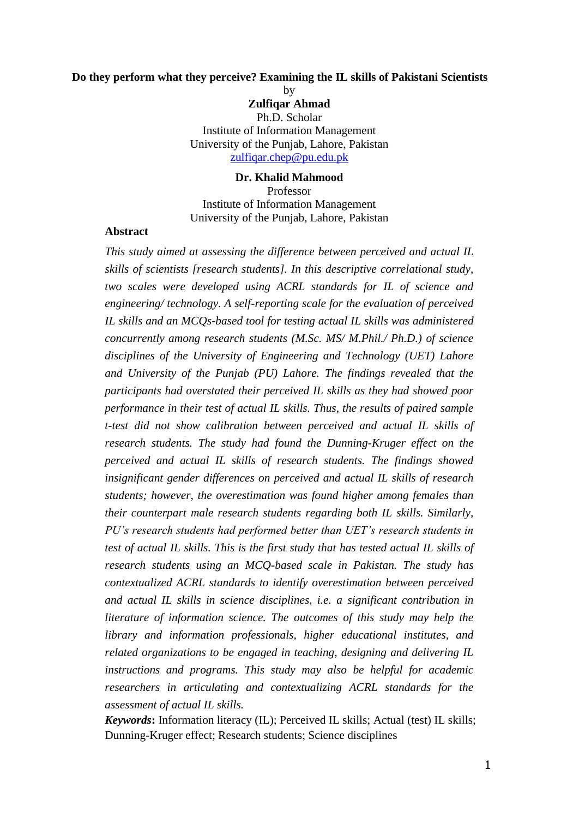## **Do they perform what they perceive? Examining the IL skills of Pakistani Scientists**

by

**Zulfiqar Ahmad** Ph.D. Scholar Institute of Information Management University of the Punjab, Lahore, Pakistan [zulfiqar.chep@pu.edu.pk](mailto:zulfiqar.chep@pu.edu.pk)

#### **Dr. Khalid Mahmood**

Professor Institute of Information Management University of the Punjab, Lahore, Pakistan

#### **Abstract**

*This study aimed at assessing the difference between perceived and actual IL skills of scientists [research students]. In this descriptive correlational study, two scales were developed using ACRL standards for IL of science and engineering/ technology. A self-reporting scale for the evaluation of perceived IL skills and an MCQs-based tool for testing actual IL skills was administered concurrently among research students (M.Sc. MS/ M.Phil./ Ph.D.) of science disciplines of the University of Engineering and Technology (UET) Lahore and University of the Punjab (PU) Lahore. The findings revealed that the participants had overstated their perceived IL skills as they had showed poor performance in their test of actual IL skills. Thus, the results of paired sample t-test did not show calibration between perceived and actual IL skills of research students. The study had found the Dunning-Kruger effect on the perceived and actual IL skills of research students. The findings showed insignificant gender differences on perceived and actual IL skills of research students; however, the overestimation was found higher among females than their counterpart male research students regarding both IL skills. Similarly, PU's research students had performed better than UET's research students in test of actual IL skills. This is the first study that has tested actual IL skills of research students using an MCQ-based scale in Pakistan. The study has contextualized ACRL standards to identify overestimation between perceived and actual IL skills in science disciplines, i.e. a significant contribution in literature of information science. The outcomes of this study may help the library and information professionals, higher educational institutes, and related organizations to be engaged in teaching, designing and delivering IL instructions and programs. This study may also be helpful for academic researchers in articulating and contextualizing ACRL standards for the assessment of actual IL skills.* 

*Keywords***:** Information literacy (IL); Perceived IL skills; Actual (test) IL skills; Dunning-Kruger effect; Research students; Science disciplines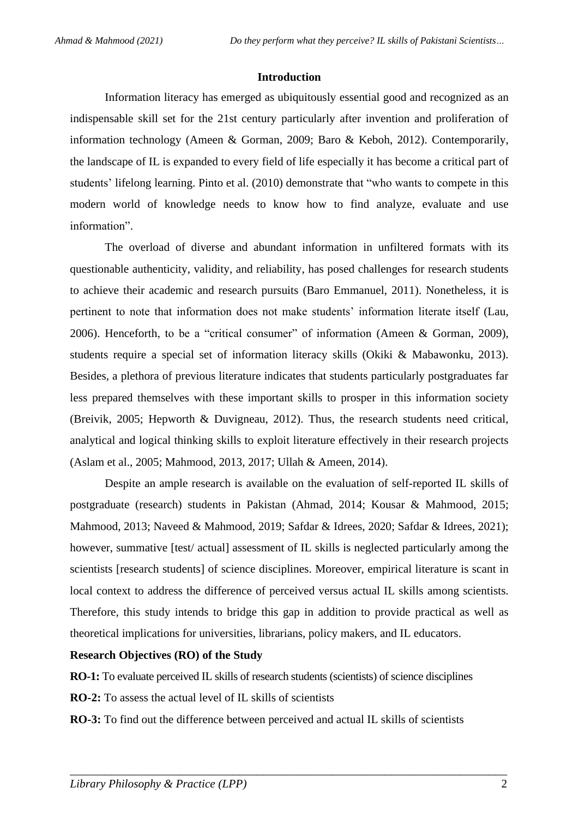#### **Introduction**

Information literacy has emerged as ubiquitously essential good and recognized as an indispensable skill set for the 21st century particularly after invention and proliferation of information technology [\(Ameen & Gorman, 2009;](#page-15-0) [Baro & Keboh, 2012\)](#page-16-0). Contemporarily, the landscape of IL is expanded to every field of life especially it has become a critical part of students' lifelong learning. [Pinto et al. \(2010\)](#page-19-0) demonstrate that "who wants to compete in this modern world of knowledge needs to know how to find analyze, evaluate and use information".

The overload of diverse and abundant information in unfiltered formats with its questionable authenticity, validity, and reliability, has posed challenges for research students to achieve their academic and research pursuits [\(Baro Emmanuel, 2011\)](#page-16-1). Nonetheless, it is pertinent to note that information does not make students' information literate itself [\(Lau,](#page-18-0)  [2006\)](#page-18-0). Henceforth, to be a "critical consumer" of information [\(Ameen & Gorman, 2009\)](#page-15-0), students require a special set of information literacy skills [\(Okiki & Mabawonku, 2013\)](#page-19-1). Besides, a plethora of previous literature indicates that students particularly postgraduates far less prepared themselves with these important skills to prosper in this information society [\(Breivik, 2005;](#page-16-2) [Hepworth & Duvigneau, 2012\)](#page-17-0). Thus, the research students need critical, analytical and logical thinking skills to exploit literature effectively in their research projects [\(Aslam et al., 2005;](#page-16-3) [Mahmood, 2013,](#page-18-1) [2017;](#page-18-2) [Ullah & Ameen, 2014\)](#page-20-0).

Despite an ample research is available on the evaluation of self-reported IL skills of postgraduate (research) students in Pakistan [\(Ahmad, 2014;](#page-15-1) [Kousar & Mahmood, 2015;](#page-18-3) [Mahmood, 2013;](#page-18-1) [Naveed & Mahmood, 2019;](#page-19-2) [Safdar & Idrees, 2020;](#page-20-1) [Safdar & Idrees, 2021\)](#page-20-2); however, summative [test/ actual] assessment of IL skills is neglected particularly among the scientists [research students] of science disciplines. Moreover, empirical literature is scant in local context to address the difference of perceived versus actual IL skills among scientists. Therefore, this study intends to bridge this gap in addition to provide practical as well as theoretical implications for universities, librarians, policy makers, and IL educators.

#### **Research Objectives (RO) of the Study**

**RO-1:** To evaluate perceived IL skills of research students (scientists) of science disciplines

**RO-2:** To assess the actual level of IL skills of scientists

**RO-3:** To find out the difference between perceived and actual IL skills of scientists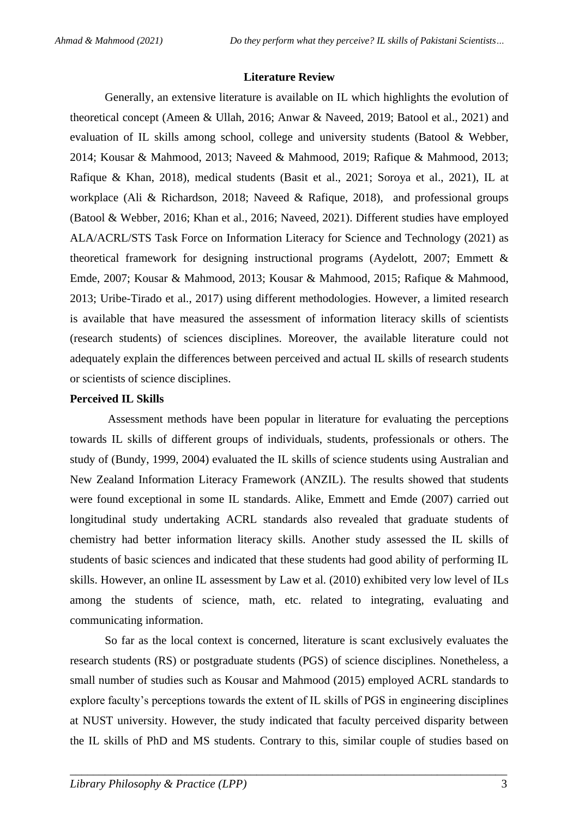#### **Literature Review**

Generally, an extensive literature is available on IL which highlights the evolution of theoretical concept [\(Ameen & Ullah, 2016;](#page-15-2) [Anwar & Naveed, 2019;](#page-16-4) [Batool et al., 2021\)](#page-16-5) and evaluation of IL skills among school, college and university students [\(Batool & Webber,](#page-16-6)  [2014;](#page-16-6) [Kousar & Mahmood, 2013;](#page-18-4) [Naveed & Mahmood, 2019;](#page-19-2) [Rafique & Mahmood, 2013;](#page-19-3) [Rafique & Khan, 2018\)](#page-20-3), medical students [\(Basit et al., 2021;](#page-16-7) [Soroya et al., 2021\)](#page-20-4), IL at workplace [\(Ali & Richardson, 2018;](#page-15-3) [Naveed & Rafique, 2018\)](#page-19-4), and professional groups [\(Batool & Webber, 2016;](#page-16-8) [Khan et al., 2016;](#page-18-5) [Naveed, 2021\)](#page-19-5). Different studies have employed [ALA/ACRL/STS Task Force on Information Literacy for Science and Technology \(2021\)](#page-15-4) as theoretical framework for designing instructional programs [\(Aydelott, 2007;](#page-16-9) [Emmett &](#page-17-1)  [Emde, 2007;](#page-17-1) [Kousar & Mahmood, 2013;](#page-18-4) [Kousar & Mahmood, 2015;](#page-18-3) [Rafique & Mahmood,](#page-19-3)  [2013;](#page-19-3) [Uribe-Tirado et al., 2017\)](#page-20-5) using different methodologies. However, a limited research is available that have measured the assessment of information literacy skills of scientists (research students) of sciences disciplines. Moreover, the available literature could not adequately explain the differences between perceived and actual IL skills of research students or scientists of science disciplines.

#### **Perceived IL Skills**

Assessment methods have been popular in literature for evaluating the perceptions towards IL skills of different groups of individuals, students, professionals or others. The study of [\(Bundy, 1999,](#page-16-10) [2004\)](#page-16-11) evaluated the IL skills of science students using Australian and New Zealand Information Literacy Framework (ANZIL). The results showed that students were found exceptional in some IL standards. Alike, [Emmett and Emde \(2007\)](#page-17-1) carried out longitudinal study undertaking ACRL standards also revealed that graduate students of chemistry had better information literacy skills. Another study assessed the IL skills of students of basic sciences and indicated that these students had good ability of performing IL skills. However, an online IL assessment by [Law et al. \(2010\)](#page-18-6) exhibited very low level of ILs among the students of science, math, etc. related to integrating, evaluating and communicating information.

So far as the local context is concerned, literature is scant exclusively evaluates the research students (RS) or postgraduate students (PGS) of science disciplines. Nonetheless, a small number of studies such as [Kousar and Mahmood \(2015\)](#page-18-3) employed ACRL standards to explore faculty's perceptions towards the extent of IL skills of PGS in engineering disciplines at NUST university. However, the study indicated that faculty perceived disparity between the IL skills of PhD and MS students. Contrary to this, similar couple of studies based on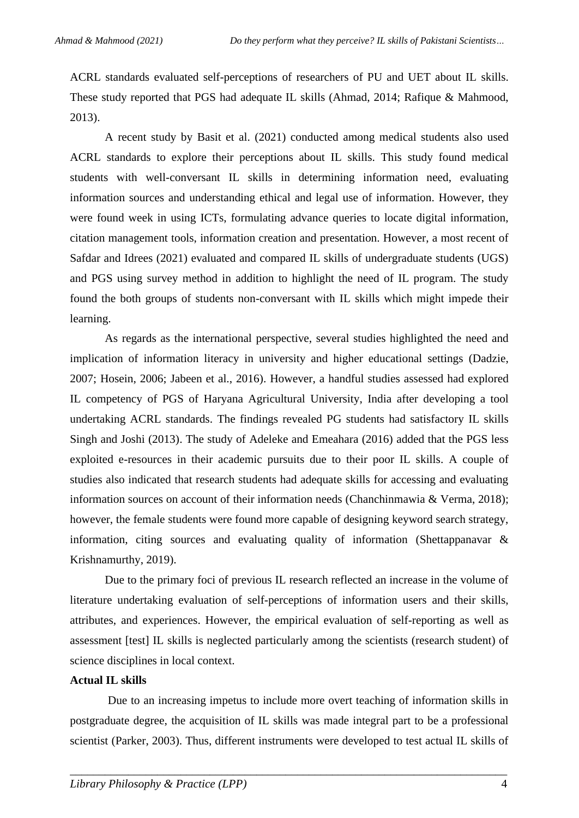ACRL standards evaluated self-perceptions of researchers of PU and UET about IL skills. These study reported that PGS had adequate IL skills [\(Ahmad, 2014;](#page-15-1) [Rafique & Mahmood,](#page-19-3)  [2013\)](#page-19-3).

A recent study by [Basit et al. \(2021\)](#page-16-7) conducted among medical students also used ACRL standards to explore their perceptions about IL skills. This study found medical students with well-conversant IL skills in determining information need, evaluating information sources and understanding ethical and legal use of information. However, they were found week in using ICTs, formulating advance queries to locate digital information, citation management tools, information creation and presentation. However, a most recent of [Safdar and Idrees \(2021\)](#page-20-2) evaluated and compared IL skills of undergraduate students (UGS) and PGS using survey method in addition to highlight the need of IL program. The study found the both groups of students non-conversant with IL skills which might impede their learning.

As regards as the international perspective, several studies highlighted the need and implication of information literacy in university and higher educational settings [\(Dadzie,](#page-17-2)  [2007;](#page-17-2) [Hosein, 2006;](#page-17-3) [Jabeen et al., 2016\)](#page-17-4). However, a handful studies assessed had explored IL competency of PGS of Haryana Agricultural University, India after developing a tool undertaking ACRL standards. The findings revealed PG students had satisfactory IL skills [Singh and Joshi \(2013\).](#page-20-6) The study of [Adeleke and Emeahara \(2016\)](#page-15-5) added that the PGS less exploited e-resources in their academic pursuits due to their poor IL skills. A couple of studies also indicated that research students had adequate skills for accessing and evaluating information sources on account of their information needs [\(Chanchinmawia & Verma, 2018\)](#page-17-5); however, the female students were found more capable of designing keyword search strategy, information, citing sources and evaluating quality of information [\(Shettappanavar &](#page-20-7)  [Krishnamurthy, 2019\)](#page-20-7).

Due to the primary foci of previous IL research reflected an increase in the volume of literature undertaking evaluation of self-perceptions of information users and their skills, attributes, and experiences. However, the empirical evaluation of self-reporting as well as assessment [test] IL skills is neglected particularly among the scientists (research student) of science disciplines in local context.

#### **Actual IL skills**

Due to an increasing impetus to include more overt teaching of information skills in postgraduate degree, the acquisition of IL skills was made integral part to be a professional scientist [\(Parker, 2003\)](#page-19-6). Thus, different instruments were developed to test actual IL skills of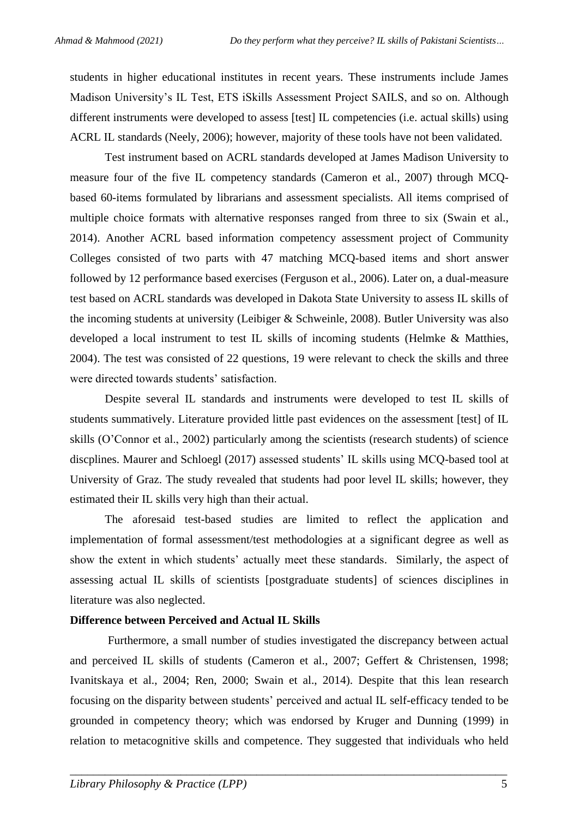students in higher educational institutes in recent years. These instruments include James Madison University's IL Test, ETS iSkills Assessment Project SAILS, and so on. Although different instruments were developed to assess [test] IL competencies (i.e. actual skills) using ACRL IL standards [\(Neely, 2006\)](#page-19-7); however, majority of these tools have not been validated.

Test instrument based on ACRL standards developed at James Madison University to measure four of the five IL competency standards [\(Cameron et al., 2007\)](#page-17-6) through MCQbased 60-items formulated by librarians and assessment specialists. All items comprised of multiple choice formats with alternative responses ranged from three to six [\(Swain et al.,](#page-20-8)  [2014\)](#page-20-8). Another ACRL based information competency assessment project of Community Colleges consisted of two parts with 47 matching MCQ-based items and short answer followed by 12 performance based exercises [\(Ferguson et al., 2006\)](#page-17-7). Later on, a dual-measure test based on ACRL standards was developed in Dakota State University to assess IL skills of the incoming students at university [\(Leibiger & Schweinle, 2008\)](#page-18-7). Butler University was also developed a local instrument to test IL skills of incoming students [\(Helmke & Matthies,](#page-17-8)  [2004\)](#page-17-8). The test was consisted of 22 questions, 19 were relevant to check the skills and three were directed towards students' satisfaction.

Despite several IL standards and instruments were developed to test IL skills of students summatively. Literature provided little past evidences on the assessment [test] of IL skills [\(O'Connor et al., 2002\)](#page-19-8) particularly among the scientists (research students) of science discplines. [Maurer and Schloegl \(2017\)](#page-19-9) assessed students' IL skills using MCQ-based tool at University of Graz. The study revealed that students had poor level IL skills; however, they estimated their IL skills very high than their actual.

The aforesaid test-based studies are limited to reflect the application and implementation of formal assessment/test methodologies at a significant degree as well as show the extent in which students' actually meet these standards. Similarly, the aspect of assessing actual IL skills of scientists [postgraduate students] of sciences disciplines in literature was also neglected.

#### **Difference between Perceived and Actual IL Skills**

Furthermore, a small number of studies investigated the discrepancy between actual and perceived IL skills of students [\(Cameron et al., 2007;](#page-17-6) [Geffert & Christensen, 1998;](#page-17-9) [Ivanitskaya et al., 2004;](#page-17-10) [Ren, 2000;](#page-20-9) [Swain et al., 2014\)](#page-20-8). Despite that this lean research focusing on the disparity between students' perceived and actual IL self-efficacy tended to be grounded in competency theory; which was endorsed by [Kruger and Dunning \(1999\)](#page-18-8) in relation to metacognitive skills and competence. They suggested that individuals who held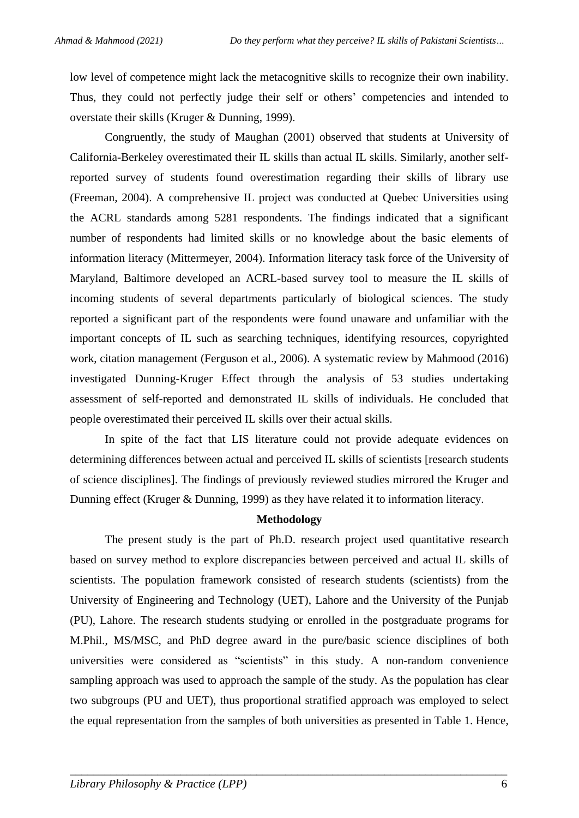low level of competence might lack the metacognitive skills to recognize their own inability. Thus, they could not perfectly judge their self or others' competencies and intended to overstate their skills [\(Kruger & Dunning, 1999\)](#page-18-8).

Congruently, the study of [Maughan \(2001\)](#page-19-10) observed that students at University of California-Berkeley overestimated their IL skills than actual IL skills. Similarly, another selfreported survey of students found overestimation regarding their skills of library use [\(Freeman, 2004\)](#page-17-11). A comprehensive IL project was conducted at Quebec Universities using the ACRL standards among 5281 respondents. The findings indicated that a significant number of respondents had limited skills or no knowledge about the basic elements of information literacy [\(Mittermeyer, 2004\)](#page-19-11). Information literacy task force of the University of Maryland, Baltimore developed an ACRL-based survey tool to measure the IL skills of incoming students of several departments particularly of biological sciences. The study reported a significant part of the respondents were found unaware and unfamiliar with the important concepts of IL such as searching techniques, identifying resources, copyrighted work, citation management [\(Ferguson et al., 2006\)](#page-17-7). A systematic review by [Mahmood \(2016\)](#page-18-9) investigated Dunning-Kruger Effect through the analysis of 53 studies undertaking assessment of self-reported and demonstrated IL skills of individuals. He concluded that people overestimated their perceived IL skills over their actual skills.

In spite of the fact that LIS literature could not provide adequate evidences on determining differences between actual and perceived IL skills of scientists [research students of science disciplines]. The findings of previously reviewed studies mirrored the Kruger and Dunning effect [\(Kruger & Dunning, 1999\)](#page-18-8) as they have related it to information literacy.

#### **Methodology**

The present study is the part of Ph.D. research project used quantitative research based on survey method to explore discrepancies between perceived and actual IL skills of scientists. The population framework consisted of research students (scientists) from the University of Engineering and Technology (UET), Lahore and the University of the Punjab (PU), Lahore. The research students studying or enrolled in the postgraduate programs for M.Phil., MS/MSC, and PhD degree award in the pure/basic science disciplines of both universities were considered as "scientists" in this study. A non-random convenience sampling approach was used to approach the sample of the study. As the population has clear two subgroups (PU and UET), thus proportional stratified approach was employed to select the equal representation from the samples of both universities as presented in Table 1. Hence,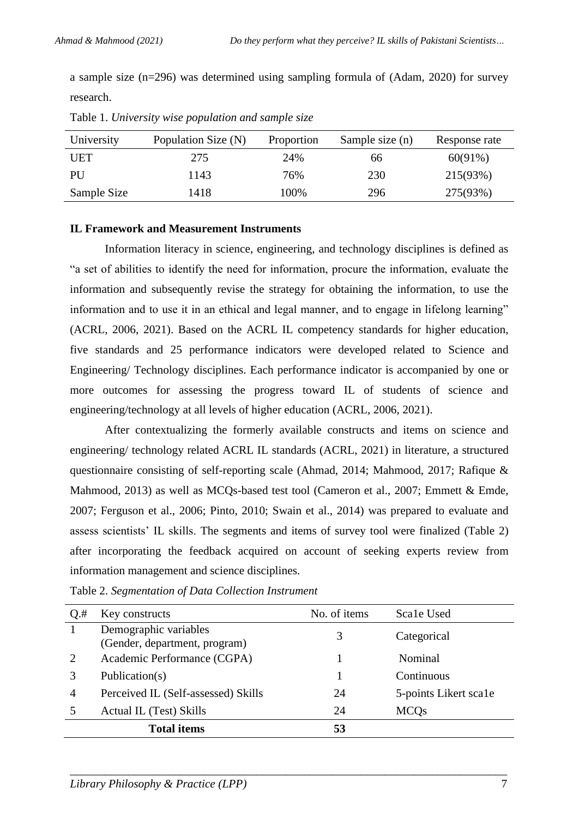a sample size (n=296) was determined using sampling formula of [\(Adam, 2020\)](#page-15-6) for survey research.

| University  | Population Size (N) | Proportion | Sample size (n) | Response rate |
|-------------|---------------------|------------|-----------------|---------------|
| UET         | 275                 | 24%        | 66              | $60(91\%)$    |
| PU          | 1143                | 76%        | 230             | 215(93%)      |
| Sample Size | 1418                | 100%       | 296             | 275(93%)      |

Table 1. *University wise population and sample size*

#### **IL Framework and Measurement Instruments**

Information literacy in science, engineering, and technology disciplines is defined as "a set of abilities to identify the need for information, procure the information, evaluate the information and subsequently revise the strategy for obtaining the information, to use the information and to use it in an ethical and legal manner, and to engage in lifelong learning" [\(ACRL, 2006,](#page-15-7) [2021\)](#page-15-8). Based on the ACRL IL competency standards for higher education, five standards and 25 performance indicators were developed related to Science and Engineering/ Technology disciplines. Each performance indicator is accompanied by one or more outcomes for assessing the progress toward IL of students of science and engineering/technology at all levels of higher education [\(ACRL, 2006,](#page-15-7) [2021\)](#page-15-8).

After contextualizing the formerly available constructs and items on science and engineering/ technology related ACRL IL standards [\(ACRL, 2021\)](#page-15-8) in literature, a structured questionnaire consisting of self-reporting scale [\(Ahmad, 2014;](#page-15-1) [Mahmood, 2017;](#page-18-2) [Rafique &](#page-19-3)  [Mahmood, 2013\)](#page-19-3) as well as MCQs-based test tool [\(Cameron et al., 2007;](#page-17-6) [Emmett & Emde,](#page-17-1)  [2007;](#page-17-1) [Ferguson et al., 2006;](#page-17-7) [Pinto, 2010;](#page-19-12) [Swain et al., 2014\)](#page-20-8) was prepared to evaluate and assess scientists' IL skills. The segments and items of survey tool were finalized (Table 2) after incorporating the feedback acquired on account of seeking experts review from information management and science disciplines.

| $Q$ .#         | Key constructs                                         | No. of items | Scale Used            |
|----------------|--------------------------------------------------------|--------------|-----------------------|
|                | Demographic variables<br>(Gender, department, program) | 3            | Categorical           |
| 2              | Academic Performance (CGPA)                            |              | Nominal               |
|                | Publication(s)                                         |              | Continuous            |
| $\overline{4}$ | Perceived IL (Self-assessed) Skills                    | 24           | 5-points Likert scale |
|                | Actual IL (Test) Skills                                | 24           | <b>MCQs</b>           |
|                | <b>Total items</b>                                     | 53           |                       |

Table 2. *Segmentation of Data Collection Instrument*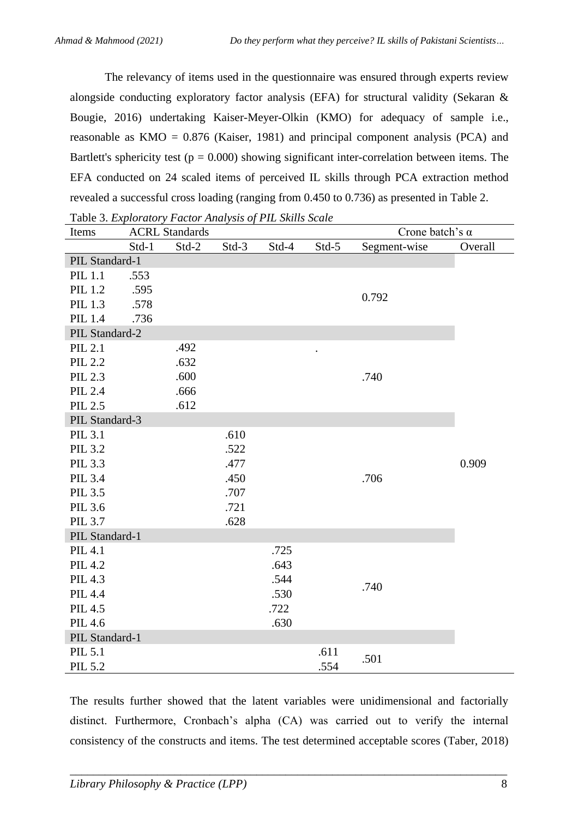The relevancy of items used in the questionnaire was ensured through experts review alongside conducting exploratory factor analysis (EFA) for structural validity [\(Sekaran &](#page-20-10)  [Bougie, 2016\)](#page-20-10) undertaking Kaiser-Meyer-Olkin (KMO) for adequacy of sample i.e., reasonable as  $KMO = 0.876$  [\(Kaiser, 1981\)](#page-17-12) and principal component analysis (PCA) and Bartlett's sphericity test ( $p = 0.000$ ) showing significant inter-correlation between items. The EFA conducted on 24 scaled items of perceived IL skills through PCA extraction method revealed a successful cross loading (ranging from 0.450 to 0.736) as presented in Table 2.

| Table 3. Exploratory Factor Analysis of PIL Skills Scale |                                                 |       |       |       |           |              |         |
|----------------------------------------------------------|-------------------------------------------------|-------|-------|-------|-----------|--------------|---------|
| Items                                                    | Crone batch's $\alpha$<br><b>ACRL Standards</b> |       |       |       |           |              |         |
|                                                          | Std-1                                           | Std-2 | Std-3 | Std-4 | $Std-5$   | Segment-wise | Overall |
| PIL Standard-1                                           |                                                 |       |       |       |           |              |         |
| <b>PIL 1.1</b>                                           | .553                                            |       |       |       |           |              |         |
| PIL 1.2                                                  | .595                                            |       |       |       |           | 0.792        |         |
| PIL 1.3                                                  | .578                                            |       |       |       |           |              |         |
| PIL 1.4                                                  | .736                                            |       |       |       |           |              |         |
| PIL Standard-2                                           |                                                 |       |       |       |           |              |         |
| PIL 2.1                                                  |                                                 | .492  |       |       | $\bullet$ |              |         |
| <b>PIL 2.2</b>                                           |                                                 | .632  |       |       |           |              |         |
| PIL 2.3                                                  |                                                 | .600  |       |       |           | .740         |         |
| PIL 2.4                                                  |                                                 | .666  |       |       |           |              |         |
| PIL 2.5                                                  |                                                 | .612  |       |       |           |              |         |
| PIL Standard-3                                           |                                                 |       |       |       |           |              |         |
| PIL 3.1                                                  |                                                 |       | .610  |       |           |              |         |
| PIL 3.2                                                  |                                                 |       | .522  |       |           |              |         |
| PIL 3.3                                                  |                                                 |       | .477  |       |           |              | 0.909   |
| PIL 3.4                                                  |                                                 |       | .450  |       |           | .706         |         |
| PIL 3.5                                                  |                                                 |       | .707  |       |           |              |         |
| PIL 3.6                                                  |                                                 |       | .721  |       |           |              |         |
| PIL 3.7                                                  |                                                 |       | .628  |       |           |              |         |
| PIL Standard-1                                           |                                                 |       |       |       |           |              |         |
| <b>PIL 4.1</b>                                           |                                                 |       |       | .725  |           |              |         |
| PIL 4.2                                                  |                                                 |       |       | .643  |           |              |         |
| PIL 4.3                                                  |                                                 |       |       | .544  |           | .740         |         |
| <b>PIL 4.4</b>                                           |                                                 |       |       | .530  |           |              |         |
| PIL 4.5                                                  |                                                 |       |       | .722  |           |              |         |
| <b>PIL 4.6</b>                                           |                                                 |       |       | .630  |           |              |         |
| PIL Standard-1                                           |                                                 |       |       |       |           |              |         |
| PIL 5.1                                                  |                                                 |       |       |       | .611      | .501         |         |
| PIL 5.2                                                  |                                                 |       |       |       | .554      |              |         |

The results further showed that the latent variables were unidimensional and factorially distinct. Furthermore, Cronbach's alpha (CA) was carried out to verify the internal consistency of the constructs and items. The test determined acceptable scores (Taber, 2018)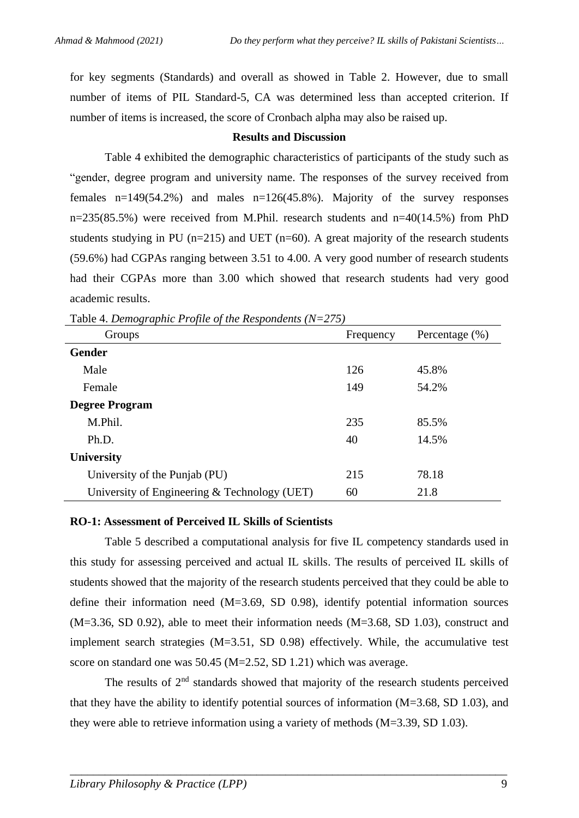for key segments (Standards) and overall as showed in Table 2. However, due to small number of items of PIL Standard-5, CA was determined less than accepted criterion. If number of items is increased, the score of Cronbach alpha may also be raised up.

#### **Results and Discussion**

Table 4 exhibited the demographic characteristics of participants of the study such as "gender, degree program and university name. The responses of the survey received from females  $n=149(54.2\%)$  and males  $n=126(45.8\%)$ . Majority of the survey responses n=235(85.5%) were received from M.Phil. research students and n=40(14.5%) from PhD students studying in PU ( $n=215$ ) and UET ( $n=60$ ). A great majority of the research students (59.6%) had CGPAs ranging between 3.51 to 4.00. A very good number of research students had their CGPAs more than 3.00 which showed that research students had very good academic results.

| Groups                                       | Frequency | Percentage $(\% )$ |
|----------------------------------------------|-----------|--------------------|
| <b>Gender</b>                                |           |                    |
| Male                                         | 126       | 45.8%              |
| Female                                       | 149       | 54.2%              |
| <b>Degree Program</b>                        |           |                    |
| M.Phil.                                      | 235       | 85.5%              |
| Ph.D.                                        | 40        | 14.5%              |
| <b>University</b>                            |           |                    |
| University of the Punjab (PU)                | 215       | 78.18              |
| University of Engineering & Technology (UET) | 60        | 21.8               |

Table 4. *Demographic Profile of the Respondents (N=275)*

### **RO-1: Assessment of Perceived IL Skills of Scientists**

Table 5 described a computational analysis for five IL competency standards used in this study for assessing perceived and actual IL skills. The results of perceived IL skills of students showed that the majority of the research students perceived that they could be able to define their information need  $(M=3.69, SD 0.98)$ , identify potential information sources (M=3.36, SD 0.92), able to meet their information needs (M=3.68, SD 1.03), construct and implement search strategies (M=3.51, SD 0.98) effectively. While, the accumulative test score on standard one was 50.45 (M=2.52, SD 1.21) which was average.

The results of 2<sup>nd</sup> standards showed that majority of the research students perceived that they have the ability to identify potential sources of information (M=3.68, SD 1.03), and they were able to retrieve information using a variety of methods (M=3.39, SD 1.03).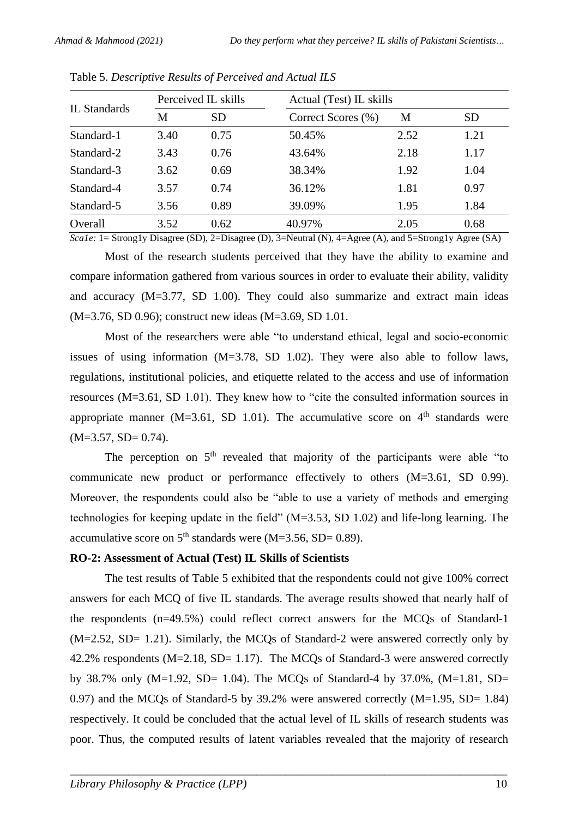| IL Standards | Perceived IL skills |      | Actual (Test) IL skills |      |           |  |  |
|--------------|---------------------|------|-------------------------|------|-----------|--|--|
|              | М                   | SD   | Correct Scores (%)      | M    | <b>SD</b> |  |  |
| Standard-1   | 3.40                | 0.75 | 50.45%                  | 2.52 | 1.21      |  |  |
| Standard-2   | 3.43                | 0.76 | 43.64%                  | 2.18 | 1.17      |  |  |
| Standard-3   | 3.62                | 0.69 | 38.34%                  | 1.92 | 1.04      |  |  |
| Standard-4   | 3.57                | 0.74 | 36.12%                  | 1.81 | 0.97      |  |  |
| Standard-5   | 3.56                | 0.89 | 39.09%                  | 1.95 | 1.84      |  |  |
| Overall      | 3.52                | 0.62 | 40.97%                  | 2.05 | 0.68      |  |  |

Table 5. *Descriptive Results of Perceived and Actual ILS*

*Scale:* 1= Strong1y Disagree (SD), 2=Disagree (D), 3=Neutral (N), 4=Agree (A), and 5=Strong1y Agree (SA)

Most of the research students perceived that they have the ability to examine and compare information gathered from various sources in order to evaluate their ability, validity and accuracy (M=3.77, SD 1.00). They could also summarize and extract main ideas (M=3.76, SD 0.96); construct new ideas (M=3.69, SD 1.01.

Most of the researchers were able "to understand ethical, legal and socio-economic issues of using information  $(M=3.78, SD 1.02)$ . They were also able to follow laws, regulations, institutional policies, and etiquette related to the access and use of information resources (M=3.61, SD 1.01). They knew how to "cite the consulted information sources in appropriate manner (M=3.61, SD 1.01). The accumulative score on  $4<sup>th</sup>$  standards were  $(M=3.57, SD=0.74).$ 

The perception on  $5<sup>th</sup>$  revealed that majority of the participants were able "to communicate new product or performance effectively to others (M=3.61, SD 0.99). Moreover, the respondents could also be "able to use a variety of methods and emerging technologies for keeping update in the field" (M=3.53, SD 1.02) and life-long learning. The accumulative score on  $5<sup>th</sup>$  standards were (M=3.56, SD= 0.89).

#### **RO-2: Assessment of Actual (Test) IL Skills of Scientists**

The test results of Table 5 exhibited that the respondents could not give 100% correct answers for each MCQ of five IL standards. The average results showed that nearly half of the respondents (n=49.5%) could reflect correct answers for the MCQs of Standard-1 (M=2.52, SD= 1.21). Similarly, the MCQs of Standard-2 were answered correctly only by 42.2% respondents (M=2.18, SD= 1.17). The MCQs of Standard-3 were answered correctly by 38.7% only  $(M=1.92, SD= 1.04)$ . The MCQs of Standard-4 by 37.0%,  $(M=1.81, SD=$ 0.97) and the MCQs of Standard-5 by 39.2% were answered correctly (M=1.95, SD= 1.84) respectively. It could be concluded that the actual level of IL skills of research students was poor. Thus, the computed results of latent variables revealed that the majority of research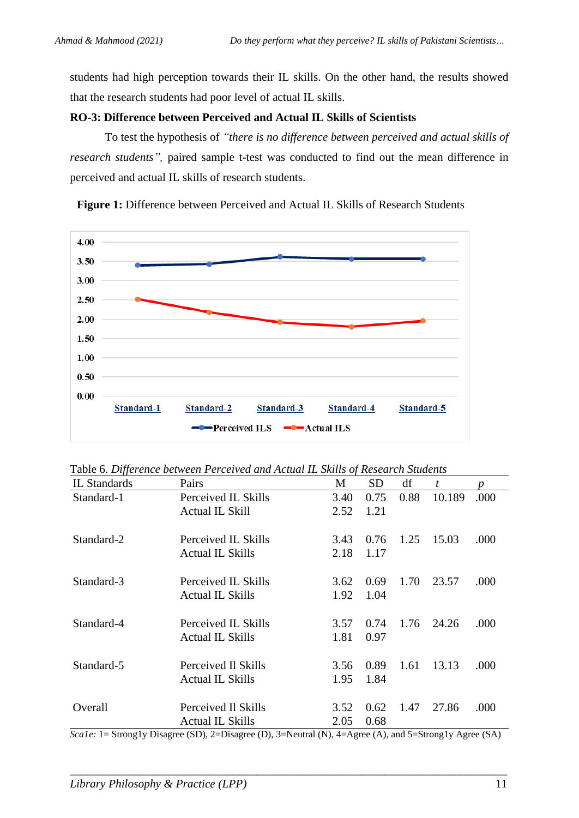students had high perception towards their IL skills. On the other hand, the results showed that the research students had poor level of actual IL skills.

#### **RO-3: Difference between Perceived and Actual IL Skills of Scientists**

To test the hypothesis of *"there is no difference between perceived and actual skills of research students",* paired sample t-test was conducted to find out the mean difference in perceived and actual IL skills of research students.

**Figure 1:** Difference between Perceived and Actual IL Skills of Research Students



Table 6. *Difference between Perceived and Actual IL Skills of Research Students*

| IL Standards | Pairs                   | M    | <b>SD</b> | df   | t      | Ŋ    |
|--------------|-------------------------|------|-----------|------|--------|------|
| Standard-1   | Perceived IL Skills     | 3.40 | 0.75      | 0.88 | 10.189 | .000 |
|              | <b>Actual IL Skill</b>  | 2.52 | 1.21      |      |        |      |
| Standard-2   | Perceived IL Skills     | 3.43 | 0.76      | 1.25 | 15.03  | .000 |
|              | Actual IL Skills        | 2.18 | 1.17      |      |        |      |
| Standard-3   | Perceived IL Skills     | 3.62 | 0.69      | 1.70 | 23.57  | .000 |
|              | Actual IL Skills        | 1.92 | 1.04      |      |        |      |
| Standard-4   | Perceived IL Skills     | 3.57 | 0.74      | 1.76 | 24.26  | .000 |
|              | <b>Actual IL Skills</b> | 1.81 | 0.97      |      |        |      |
| Standard-5   | Perceived Il Skills     | 3.56 | 0.89      | 1.61 | 13.13  | .000 |
|              | <b>Actual IL Skills</b> | 1.95 | 1.84      |      |        |      |
| Overall      | Perceived Il Skills     | 3.52 | 0.62      | 1.47 | 27.86  | .000 |
|              | <b>Actual IL Skills</b> | 2.05 | 0.68      |      |        |      |

*Sca1e:* 1= Strong1y Disagree (SD), 2=Disagree (D), 3=Neutral (N), 4=Agree (A), and 5=Strong1y Agree (SA)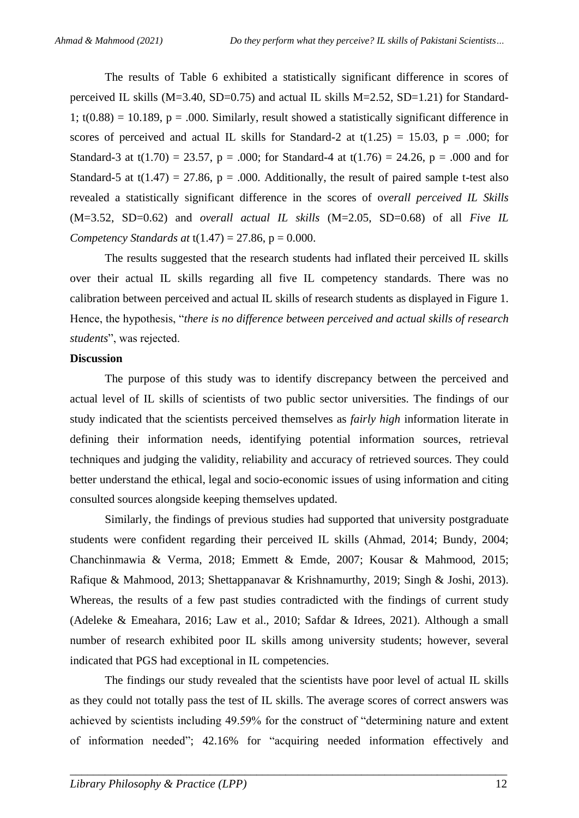The results of Table 6 exhibited a statistically significant difference in scores of perceived IL skills ( $M=3.40$ , SD=0.75) and actual IL skills  $M=2.52$ , SD=1.21) for Standard-1;  $t(0.88) = 10.189$ ,  $p = .000$ . Similarly, result showed a statistically significant difference in scores of perceived and actual IL skills for Standard-2 at  $t(1.25) = 15.03$ ,  $p = .000$ ; for Standard-3 at t(1.70) = 23.57, p = .000; for Standard-4 at t(1.76) = 24.26, p = .000 and for Standard-5 at t(1.47) = 27.86, p = .000. Additionally, the result of paired sample t-test also revealed a statistically significant difference in the scores of o*verall perceived IL Skills* (M=3.52, SD=0.62) and *overall actual IL skills* (M=2.05, SD=0.68) of all *Five IL Competency Standards at*  $t(1.47) = 27.86$ ,  $p = 0.000$ .

The results suggested that the research students had inflated their perceived IL skills over their actual IL skills regarding all five IL competency standards. There was no calibration between perceived and actual IL skills of research students as displayed in Figure 1. Hence, the hypothesis, "*there is no difference between perceived and actual skills of research students*", was rejected.

#### **Discussion**

The purpose of this study was to identify discrepancy between the perceived and actual level of IL skills of scientists of two public sector universities. The findings of our study indicated that the scientists perceived themselves as *fairly high* information literate in defining their information needs, identifying potential information sources, retrieval techniques and judging the validity, reliability and accuracy of retrieved sources. They could better understand the ethical, legal and socio-economic issues of using information and citing consulted sources alongside keeping themselves updated.

Similarly, the findings of previous studies had supported that university postgraduate students were confident regarding their perceived IL skills [\(Ahmad, 2014;](#page-15-1) [Bundy, 2004;](#page-16-11) [Chanchinmawia & Verma, 2018;](#page-17-5) [Emmett & Emde, 2007;](#page-17-1) [Kousar & Mahmood, 2015;](#page-18-3) [Rafique & Mahmood, 2013;](#page-19-3) [Shettappanavar & Krishnamurthy, 2019;](#page-20-7) [Singh & Joshi, 2013\)](#page-20-6). Whereas, the results of a few past studies contradicted with the findings of current study [\(Adeleke & Emeahara, 2016;](#page-15-5) [Law et al., 2010;](#page-18-6) [Safdar & Idrees, 2021\)](#page-20-2). Although a small number of research exhibited poor IL skills among university students; however, several indicated that PGS had exceptional in IL competencies.

The findings our study revealed that the scientists have poor level of actual IL skills as they could not totally pass the test of IL skills. The average scores of correct answers was achieved by scientists including 49.59% for the construct of "determining nature and extent of information needed"; 42.16% for "acquiring needed information effectively and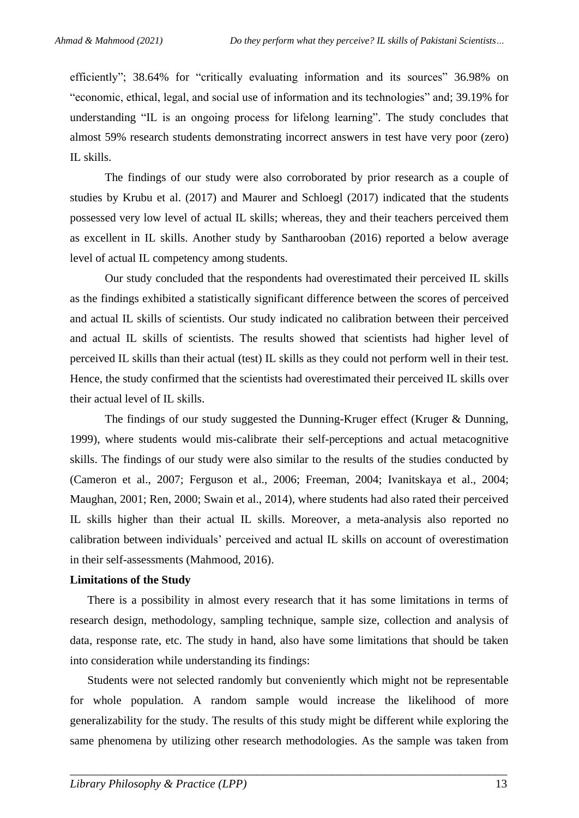efficiently"; 38.64% for "critically evaluating information and its sources" 36.98% on "economic, ethical, legal, and social use of information and its technologies" and; 39.19% for understanding "IL is an ongoing process for lifelong learning". The study concludes that almost 59% research students demonstrating incorrect answers in test have very poor (zero) IL skills.

The findings of our study were also corroborated by prior research as a couple of studies by [Krubu et al. \(2017\)](#page-18-10) and [Maurer and Schloegl \(2017\)](#page-19-9) indicated that the students possessed very low level of actual IL skills; whereas, they and their teachers perceived them as excellent in IL skills. Another study by [Santharooban \(2016\)](#page-20-11) reported a below average level of actual IL competency among students.

Our study concluded that the respondents had overestimated their perceived IL skills as the findings exhibited a statistically significant difference between the scores of perceived and actual IL skills of scientists. Our study indicated no calibration between their perceived and actual IL skills of scientists. The results showed that scientists had higher level of perceived IL skills than their actual (test) IL skills as they could not perform well in their test. Hence, the study confirmed that the scientists had overestimated their perceived IL skills over their actual level of IL skills.

The findings of our study suggested the Dunning-Kruger effect [\(Kruger & Dunning,](#page-18-8)  [1999\)](#page-18-8), where students would mis-calibrate their self-perceptions and actual metacognitive skills. The findings of our study were also similar to the results of the studies conducted by [\(Cameron et al., 2007;](#page-17-6) [Ferguson et al., 2006;](#page-17-7) [Freeman, 2004;](#page-17-11) [Ivanitskaya et al., 2004;](#page-17-10) [Maughan, 2001;](#page-19-10) [Ren, 2000;](#page-20-9) [Swain et al., 2014\)](#page-20-8), where students had also rated their perceived IL skills higher than their actual IL skills. Moreover, a meta-analysis also reported no calibration between individuals' perceived and actual IL skills on account of overestimation in their self-assessments [\(Mahmood, 2016\)](#page-18-9).

#### **Limitations of the Study**

There is a possibility in almost every research that it has some limitations in terms of research design, methodology, sampling technique, sample size, collection and analysis of data, response rate, etc. The study in hand, also have some limitations that should be taken into consideration while understanding its findings:

Students were not selected randomly but conveniently which might not be representable for whole population. A random sample would increase the likelihood of more generalizability for the study. The results of this study might be different while exploring the same phenomena by utilizing other research methodologies. As the sample was taken from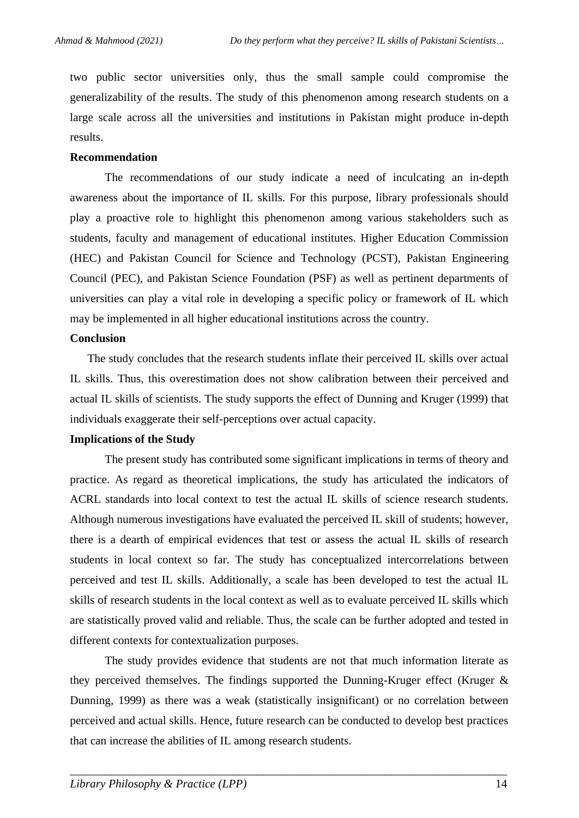two public sector universities only, thus the small sample could compromise the generalizability of the results. The study of this phenomenon among research students on a large scale across all the universities and institutions in Pakistan might produce in-depth results.

#### **Recommendation**

The recommendations of our study indicate a need of inculcating an in-depth awareness about the importance of IL skills. For this purpose, library professionals should play a proactive role to highlight this phenomenon among various stakeholders such as students, faculty and management of educational institutes. Higher Education Commission (HEC) and Pakistan Council for Science and Technology (PCST), Pakistan Engineering Council (PEC), and Pakistan Science Foundation (PSF) as well as pertinent departments of universities can play a vital role in developing a specific policy or framework of IL which may be implemented in all higher educational institutions across the country.

#### **Conclusion**

The study concludes that the research students inflate their perceived IL skills over actual IL skills. Thus, this overestimation does not show calibration between their perceived and actual IL skills of scientists. The study supports the effect of Dunning and Kruger (1999) that individuals exaggerate their self-perceptions over actual capacity.

#### **Implications of the Study**

The present study has contributed some significant implications in terms of theory and practice. As regard as theoretical implications, the study has articulated the indicators of ACRL standards into local context to test the actual IL skills of science research students. Although numerous investigations have evaluated the perceived IL skill of students; however, there is a dearth of empirical evidences that test or assess the actual IL skills of research students in local context so far. The study has conceptualized intercorrelations between perceived and test IL skills. Additionally, a scale has been developed to test the actual IL skills of research students in the local context as well as to evaluate perceived IL skills which are statistically proved valid and reliable. Thus, the scale can be further adopted and tested in different contexts for contextualization purposes.

The study provides evidence that students are not that much information literate as they perceived themselves. The findings supported the Dunning-Kruger effect (Kruger & Dunning, 1999) as there was a weak (statistically insignificant) or no correlation between perceived and actual skills. Hence, future research can be conducted to develop best practices that can increase the abilities of IL among research students.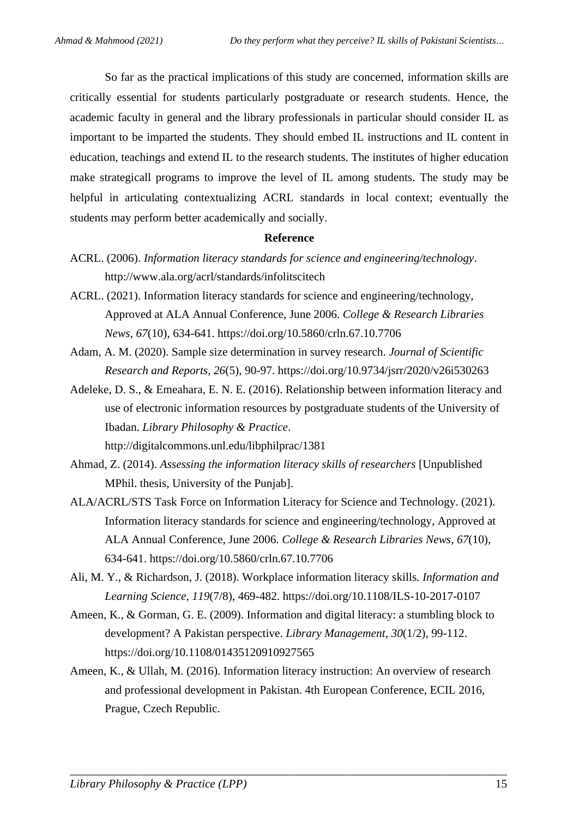So far as the practical implications of this study are concerned, information skills are critically essential for students particularly postgraduate or research students. Hence, the academic faculty in general and the library professionals in particular should consider IL as important to be imparted the students. They should embed IL instructions and IL content in education, teachings and extend IL to the research students. The institutes of higher education make strategicall programs to improve the level of IL among students. The study may be helpful in articulating contextualizing ACRL standards in local context; eventually the students may perform better academically and socially.

#### **Reference**

- <span id="page-15-7"></span>ACRL. (2006). *Information literacy standards for science and engineering/technology*. <http://www.ala.org/acrl/standards/infolitscitech>
- <span id="page-15-8"></span>ACRL. (2021). Information literacy standards for science and engineering/technology, Approved at ALA Annual Conference, June 2006. *College & Research Libraries News*, *67*(10), 634-641.<https://doi.org/10.5860/crln.67.10.7706>
- <span id="page-15-6"></span>Adam, A. M. (2020). Sample size determination in survey research. *Journal of Scientific Research and Reports*, *26*(5), 90-97.<https://doi.org/10.9734/jsrr/2020/v26i530263>
- <span id="page-15-5"></span>Adeleke, D. S., & Emeahara, E. N. E. (2016). Relationship between information literacy and use of electronic information resources by postgraduate students of the University of Ibadan. *Library Philosophy & Practice*.

<http://digitalcommons.unl.edu/libphilprac/1381>

- <span id="page-15-1"></span>Ahmad, Z. (2014). *Assessing the information literacy skills of researchers* [Unpublished MPhil. thesis, University of the Punjab].
- <span id="page-15-4"></span>ALA/ACRL/STS Task Force on Information Literacy for Science and Technology. (2021). Information literacy standards for science and engineering/technology, Approved at ALA Annual Conference, June 2006. *College & Research Libraries News*, *67*(10), 634-641.<https://doi.org/10.5860/crln.67.10.7706>
- <span id="page-15-3"></span>Ali, M. Y., & Richardson, J. (2018). Workplace information literacy skills. *Information and Learning Science*, *119*(7/8), 469-482.<https://doi.org/10.1108/ILS-10-2017-0107>
- <span id="page-15-0"></span>Ameen, K., & Gorman, G. E. (2009). Information and digital literacy: a stumbling block to development? A Pakistan perspective. *Library Management*, *30*(1/2), 99-112. <https://doi.org/10.1108/01435120910927565>
- <span id="page-15-2"></span>Ameen, K., & Ullah, M. (2016). Information literacy instruction: An overview of research and professional development in Pakistan. 4th European Conference, ECIL 2016, Prague, Czech Republic.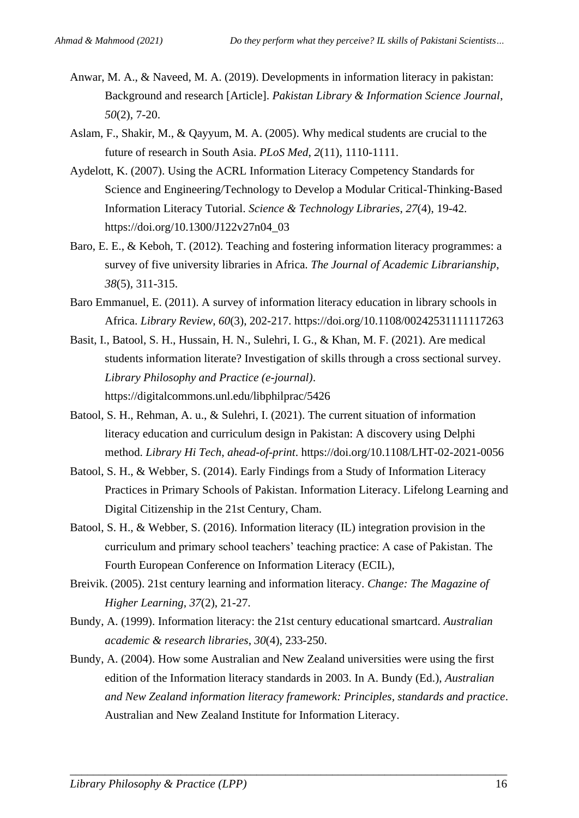- <span id="page-16-4"></span>Anwar, M. A., & Naveed, M. A. (2019). Developments in information literacy in pakistan: Background and research [Article]. *Pakistan Library & Information Science Journal*, *50*(2), 7-20.
- <span id="page-16-3"></span>Aslam, F., Shakir, M., & Qayyum, M. A. (2005). Why medical students are crucial to the future of research in South Asia. *PLoS Med*, *2*(11), 1110-1111.
- <span id="page-16-9"></span>Aydelott, K. (2007). Using the ACRL Information Literacy Competency Standards for Science and Engineering/Technology to Develop a Modular Critical-Thinking-Based Information Literacy Tutorial. *Science & Technology Libraries*, *27*(4), 19-42. [https://doi.org/10.1300/J122v27n04\\_03](https://doi.org/10.1300/J122v27n04_03)
- <span id="page-16-0"></span>Baro, E. E., & Keboh, T. (2012). Teaching and fostering information literacy programmes: a survey of five university libraries in Africa. *The Journal of Academic Librarianship*, *38*(5), 311-315.
- <span id="page-16-1"></span>Baro Emmanuel, E. (2011). A survey of information literacy education in library schools in Africa. *Library Review*, *60*(3), 202-217.<https://doi.org/10.1108/00242531111117263>
- <span id="page-16-7"></span>Basit, I., Batool, S. H., Hussain, H. N., Sulehri, I. G., & Khan, M. F. (2021). Are medical students information literate? Investigation of skills through a cross sectional survey. *Library Philosophy and Practice (e-journal)*. <https://digitalcommons.unl.edu/libphilprac/5426>
- <span id="page-16-5"></span>Batool, S. H., Rehman, A. u., & Sulehri, I. (2021). The current situation of information literacy education and curriculum design in Pakistan: A discovery using Delphi method. *Library Hi Tech*, *ahead-of-print*.<https://doi.org/10.1108/LHT-02-2021-0056>
- <span id="page-16-6"></span>Batool, S. H., & Webber, S. (2014). Early Findings from a Study of Information Literacy Practices in Primary Schools of Pakistan. Information Literacy. Lifelong Learning and Digital Citizenship in the 21st Century, Cham.
- <span id="page-16-8"></span>Batool, S. H., & Webber, S. (2016). Information literacy (IL) integration provision in the curriculum and primary school teachers' teaching practice: A case of Pakistan. The Fourth European Conference on Information Literacy (ECIL),
- <span id="page-16-2"></span>Breivik. (2005). 21st century learning and information literacy. *Change: The Magazine of Higher Learning*, *37*(2), 21-27.
- <span id="page-16-10"></span>Bundy, A. (1999). Information literacy: the 21st century educational smartcard. *Australian academic & research libraries*, *30*(4), 233-250.
- <span id="page-16-11"></span>Bundy, A. (2004). How some Australian and New Zealand universities were using the first edition of the Information literacy standards in 2003. In A. Bundy (Ed.), *Australian and New Zealand information literacy framework: Principles, standards and practice*. Australian and New Zealand Institute for Information Literacy.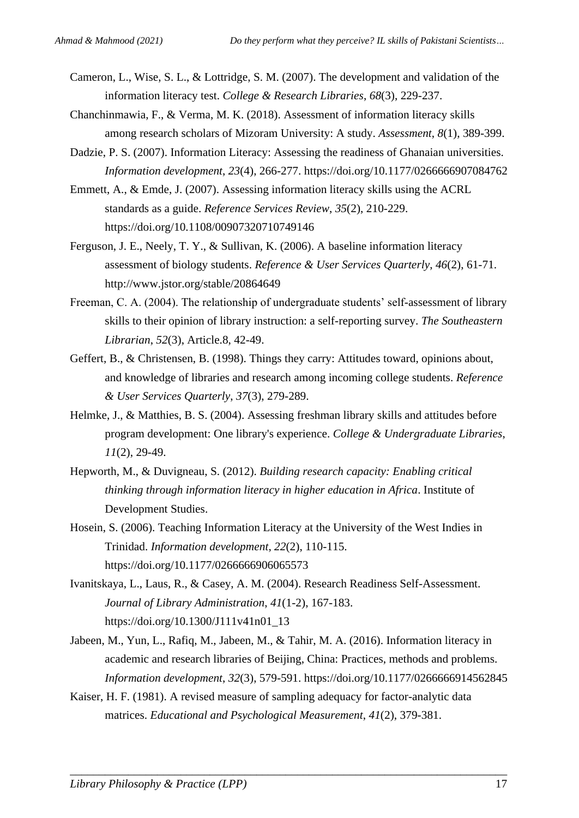- <span id="page-17-6"></span>Cameron, L., Wise, S. L., & Lottridge, S. M. (2007). The development and validation of the information literacy test. *College & Research Libraries*, *68*(3), 229-237.
- <span id="page-17-5"></span>Chanchinmawia, F., & Verma, M. K. (2018). Assessment of information literacy skills among research scholars of Mizoram University: A study. *Assessment*, *8*(1), 389-399.
- <span id="page-17-2"></span>Dadzie, P. S. (2007). Information Literacy: Assessing the readiness of Ghanaian universities. *Information development*, *23*(4), 266-277.<https://doi.org/10.1177/0266666907084762>
- <span id="page-17-1"></span>Emmett, A., & Emde, J. (2007). Assessing information literacy skills using the ACRL standards as a guide. *Reference Services Review*, *35*(2), 210-229. <https://doi.org/10.1108/00907320710749146>
- <span id="page-17-7"></span>Ferguson, J. E., Neely, T. Y., & Sullivan, K. (2006). A baseline information literacy assessment of biology students. *Reference & User Services Quarterly*, *46*(2), 61-71. <http://www.jstor.org/stable/20864649>
- <span id="page-17-11"></span>Freeman, C. A. (2004). The relationship of undergraduate students' self-assessment of library skills to their opinion of library instruction: a self-reporting survey. *The Southeastern Librarian*, *52*(3), Article.8, 42-49.
- <span id="page-17-9"></span>Geffert, B., & Christensen, B. (1998). Things they carry: Attitudes toward, opinions about, and knowledge of libraries and research among incoming college students. *Reference & User Services Quarterly*, *37*(3), 279-289.
- <span id="page-17-8"></span>Helmke, J., & Matthies, B. S. (2004). Assessing freshman library skills and attitudes before program development: One library's experience. *College & Undergraduate Libraries*, *11*(2), 29-49.
- <span id="page-17-0"></span>Hepworth, M., & Duvigneau, S. (2012). *Building research capacity: Enabling critical thinking through information literacy in higher education in Africa*. Institute of Development Studies.
- <span id="page-17-3"></span>Hosein, S. (2006). Teaching Information Literacy at the University of the West Indies in Trinidad. *Information development*, *22*(2), 110-115. <https://doi.org/10.1177/0266666906065573>
- <span id="page-17-10"></span>Ivanitskaya, L., Laus, R., & Casey, A. M. (2004). Research Readiness Self-Assessment. *Journal of Library Administration*, *41*(1-2), 167-183. [https://doi.org/10.1300/J111v41n01\\_13](https://doi.org/10.1300/J111v41n01_13)
- <span id="page-17-4"></span>Jabeen, M., Yun, L., Rafiq, M., Jabeen, M., & Tahir, M. A. (2016). Information literacy in academic and research libraries of Beijing, China: Practices, methods and problems. *Information development*, *32*(3), 579-591.<https://doi.org/10.1177/0266666914562845>

<span id="page-17-12"></span>Kaiser, H. F. (1981). A revised measure of sampling adequacy for factor-analytic data matrices. *Educational and Psychological Measurement*, *41*(2), 379-381.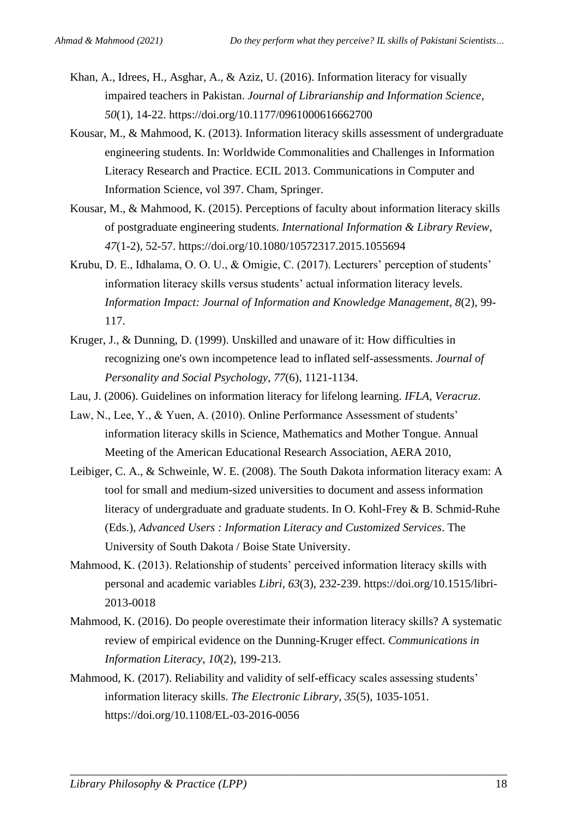- <span id="page-18-5"></span>Khan, A., Idrees, H., Asghar, A., & Aziz, U. (2016). Information literacy for visually impaired teachers in Pakistan. *Journal of Librarianship and Information Science*, *50*(1), 14-22.<https://doi.org/10.1177/0961000616662700>
- <span id="page-18-4"></span>Kousar, M., & Mahmood, K. (2013). Information literacy skills assessment of undergraduate engineering students. In: Worldwide Commonalities and Challenges in Information Literacy Research and Practice. ECIL 2013. Communications in Computer and Information Science, vol 397. Cham, Springer.
- <span id="page-18-3"></span>Kousar, M., & Mahmood, K. (2015). Perceptions of faculty about information literacy skills of postgraduate engineering students. *International Information & Library Review*, *47*(1-2), 52-57.<https://doi.org/10.1080/10572317.2015.1055694>
- <span id="page-18-10"></span>Krubu, D. E., Idhalama, O. O. U., & Omigie, C. (2017). Lecturers' perception of students' information literacy skills versus students' actual information literacy levels. *Information Impact: Journal of Information and Knowledge Management*, *8*(2), 99- 117.
- <span id="page-18-8"></span>Kruger, J., & Dunning, D. (1999). Unskilled and unaware of it: How difficulties in recognizing one's own incompetence lead to inflated self-assessments. *Journal of Personality and Social Psychology*, *77*(6), 1121-1134.
- <span id="page-18-0"></span>Lau, J. (2006). Guidelines on information literacy for lifelong learning. *IFLA, Veracruz*.
- <span id="page-18-6"></span>Law, N., Lee, Y., & Yuen, A. (2010). Online Performance Assessment of students' information literacy skills in Science, Mathematics and Mother Tongue. Annual Meeting of the American Educational Research Association, AERA 2010,
- <span id="page-18-7"></span>Leibiger, C. A., & Schweinle, W. E. (2008). The South Dakota information literacy exam: A tool for small and medium-sized universities to document and assess information literacy of undergraduate and graduate students. In O. Kohl-Frey & B. Schmid-Ruhe (Eds.), *Advanced Users : Information Literacy and Customized Services*. The University of South Dakota / Boise State University.
- <span id="page-18-1"></span>Mahmood, K. (2013). Relationship of students' perceived information literacy skills with personal and academic variables *Libri*, *63*(3), 232-239. [https://doi.org/10.1515/libri-](https://doi.org/10.1515/libri-2013-0018)[2013-0018](https://doi.org/10.1515/libri-2013-0018)
- <span id="page-18-9"></span>Mahmood, K. (2016). Do people overestimate their information literacy skills? A systematic review of empirical evidence on the Dunning-Kruger effect. *Communications in Information Literacy*, *10*(2), 199-213.

<span id="page-18-2"></span>Mahmood, K. (2017). Reliability and validity of self-efficacy scales assessing students' information literacy skills. *The Electronic Library*, *35*(5), 1035-1051. <https://doi.org/10.1108/EL-03-2016-0056>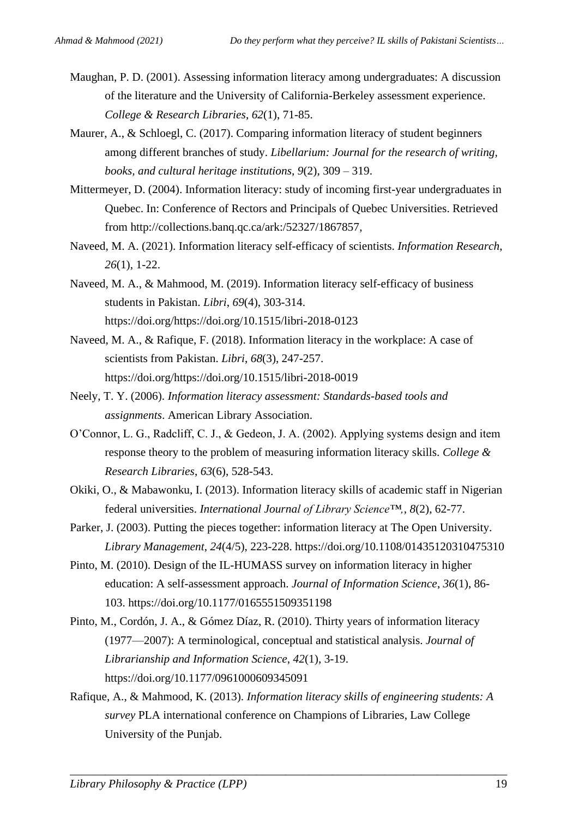- <span id="page-19-10"></span>Maughan, P. D. (2001). Assessing information literacy among undergraduates: A discussion of the literature and the University of California-Berkeley assessment experience. *College & Research Libraries*, *62*(1), 71-85.
- <span id="page-19-9"></span>Maurer, A., & Schloegl, C. (2017). Comparing information literacy of student beginners among different branches of study. *Libellarium: Journal for the research of writing, books, and cultural heritage institutions*, *9*(2), 309 – 319.
- <span id="page-19-11"></span>Mittermeyer, D. (2004). Information literacy: study of incoming first-year undergraduates in Quebec. In: Conference of Rectors and Principals of Quebec Universities. Retrieved from [http://collections.banq.qc.ca/ark:/52327/1867857,](http://collections.banq.qc.ca/ark:/52327/1867857)
- <span id="page-19-5"></span>Naveed, M. A. (2021). Information literacy self-efficacy of scientists. *Information Research*, *26*(1), 1-22.
- <span id="page-19-2"></span>Naveed, M. A., & Mahmood, M. (2019). Information literacy self-efficacy of business students in Pakistan. *Libri*, *69*(4), 303-314. [https://doi.org/https://doi.org/10.1515/libri-2018-0123](https://doi.org/https:/doi.org/10.1515/libri-2018-0123)
- <span id="page-19-4"></span>Naveed, M. A., & Rafique, F. (2018). Information literacy in the workplace: A case of scientists from Pakistan. *Libri*, *68*(3), 247-257. [https://doi.org/https://doi.org/10.1515/libri-2018-0019](https://doi.org/https:/doi.org/10.1515/libri-2018-0019)
- <span id="page-19-7"></span>Neely, T. Y. (2006). *Information literacy assessment: Standards-based tools and assignments*. American Library Association.
- <span id="page-19-8"></span>O'Connor, L. G., Radcliff, C. J., & Gedeon, J. A. (2002). Applying systems design and item response theory to the problem of measuring information literacy skills. *College & Research Libraries*, *63*(6), 528-543.
- <span id="page-19-1"></span>Okiki, O., & Mabawonku, I. (2013). Information literacy skills of academic staff in Nigerian federal universities. *International Journal of Library Science™,*, *8*(2), 62-77.
- <span id="page-19-6"></span>Parker, J. (2003). Putting the pieces together: information literacy at The Open University. *Library Management*, *24*(4/5), 223-228.<https://doi.org/10.1108/01435120310475310>
- <span id="page-19-12"></span>Pinto, M. (2010). Design of the IL-HUMASS survey on information literacy in higher education: A self-assessment approach. *Journal of Information Science*, *36*(1), 86- 103.<https://doi.org/10.1177/0165551509351198>
- <span id="page-19-0"></span>Pinto, M., Cordón, J. A., & Gómez Díaz, R. (2010). Thirty years of information literacy (1977—2007): A terminological, conceptual and statistical analysis. *Journal of Librarianship and Information Science*, *42*(1), 3-19. <https://doi.org/10.1177/0961000609345091>
- <span id="page-19-3"></span>Rafique, A., & Mahmood, K. (2013). *Information literacy skills of engineering students: A survey* PLA international conference on Champions of Libraries, Law College University of the Punjab.